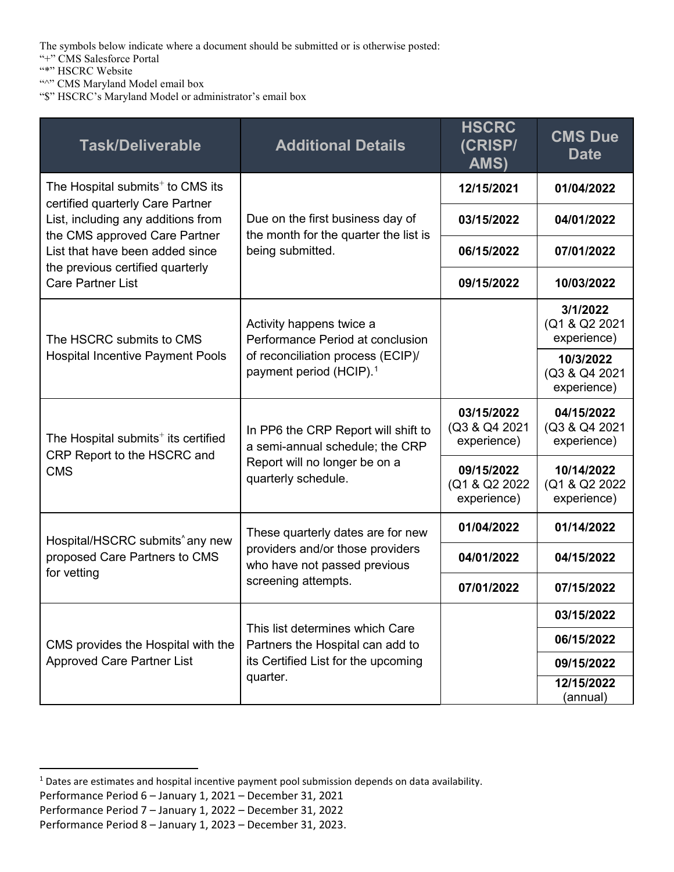The symbols below indicate where a document should be submitted or is otherwise posted:

"+" CMS Salesforce Portal

"\*" HSCRC Website

"<sup>"</sup>" CMS Maryland Model email box

"\$" HSCRC's Maryland Model or administrator's email box

| <b>Task/Deliverable</b>                                                                                                                                                                    | <b>Additional Details</b>                                                                             | <b>HSCRC</b><br>(CRISP/<br>AMS)             | <b>CMS Due</b><br><b>Date</b>               |
|--------------------------------------------------------------------------------------------------------------------------------------------------------------------------------------------|-------------------------------------------------------------------------------------------------------|---------------------------------------------|---------------------------------------------|
| The Hospital submits <sup>+</sup> to CMS its<br>certified quarterly Care Partner<br>List, including any additions from<br>the CMS approved Care Partner<br>List that have been added since | Due on the first business day of<br>the month for the quarter the list is<br>being submitted.         | 12/15/2021                                  | 01/04/2022                                  |
|                                                                                                                                                                                            |                                                                                                       | 03/15/2022                                  | 04/01/2022                                  |
|                                                                                                                                                                                            |                                                                                                       | 06/15/2022                                  | 07/01/2022                                  |
| the previous certified quarterly<br><b>Care Partner List</b>                                                                                                                               |                                                                                                       | 09/15/2022                                  | 10/03/2022                                  |
| The HSCRC submits to CMS<br><b>Hospital Incentive Payment Pools</b>                                                                                                                        | Activity happens twice a<br>Performance Period at conclusion                                          |                                             | 3/1/2022<br>(Q1 & Q2 2021<br>experience)    |
|                                                                                                                                                                                            | of reconciliation process (ECIP)/<br>payment period (HCIP). <sup>1</sup>                              |                                             | 10/3/2022<br>(Q3 & Q4 2021<br>experience)   |
| The Hospital submits <sup>+</sup> its certified<br>CRP Report to the HSCRC and<br><b>CMS</b>                                                                                               | In PP6 the CRP Report will shift to<br>a semi-annual schedule; the CRP                                | 03/15/2022<br>(Q3 & Q4 2021<br>experience)  | 04/15/2022<br>(Q3 & Q4 2021<br>experience)  |
|                                                                                                                                                                                            | Report will no longer be on a<br>quarterly schedule.                                                  | 09/15/2022<br>(Q1 & Q2 2022)<br>experience) | 10/14/2022<br>(Q1 & Q2 2022)<br>experience) |
| Hospital/HSCRC submits <sup>^</sup> any new<br>proposed Care Partners to CMS<br>for vetting                                                                                                | These quarterly dates are for new<br>providers and/or those providers<br>who have not passed previous | 01/04/2022                                  | 01/14/2022                                  |
|                                                                                                                                                                                            |                                                                                                       | 04/01/2022                                  | 04/15/2022                                  |
|                                                                                                                                                                                            | screening attempts.                                                                                   | 07/01/2022                                  | 07/15/2022                                  |
| CMS provides the Hospital with the<br><b>Approved Care Partner List</b>                                                                                                                    | This list determines which Care<br>Partners the Hospital can add to                                   |                                             | 03/15/2022                                  |
|                                                                                                                                                                                            |                                                                                                       |                                             | 06/15/2022                                  |
|                                                                                                                                                                                            | its Certified List for the upcoming<br>quarter.                                                       |                                             | 09/15/2022                                  |
|                                                                                                                                                                                            |                                                                                                       |                                             | 12/15/2022<br>(annual)                      |

<span id="page-0-0"></span><sup>&</sup>lt;sup>1</sup> Dates are estimates and hospital incentive payment pool submission depends on data availability.

Performance Period 6 – January 1, 2021 – December 31, 2021

Performance Period 7 – January 1, 2022 – December 31, 2022

Performance Period 8 – January 1, 2023 – December 31, 2023.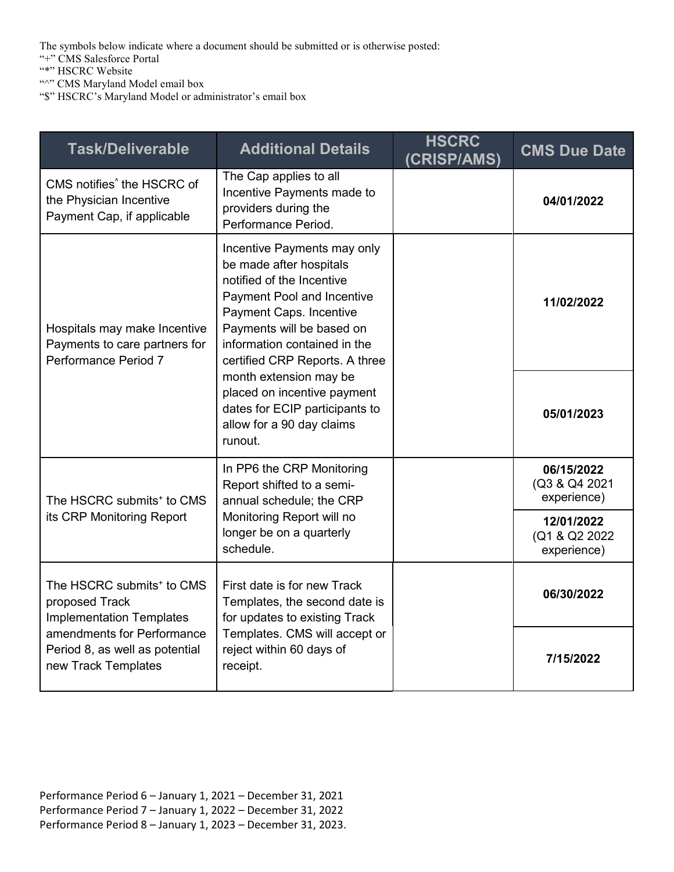The symbols below indicate where a document should be submitted or is otherwise posted:

"+" CMS Salesforce Portal

"\*" HSCRC Website

"<sup>"</sup>" CMS Maryland Model email box

"\$" HSCRC's Maryland Model or administrator's email box

| <b>Task/Deliverable</b>                                                                                                                                                           | <b>Additional Details</b>                                                                                                                                                                                                                   | <b>HSCRC</b><br>(CRISP/AMS) | <b>CMS Due Date</b>                         |
|-----------------------------------------------------------------------------------------------------------------------------------------------------------------------------------|---------------------------------------------------------------------------------------------------------------------------------------------------------------------------------------------------------------------------------------------|-----------------------------|---------------------------------------------|
| CMS notifies <sup>^</sup> the HSCRC of<br>the Physician Incentive<br>Payment Cap, if applicable                                                                                   | The Cap applies to all<br>Incentive Payments made to<br>providers during the<br>Performance Period.                                                                                                                                         |                             | 04/01/2022                                  |
| Hospitals may make Incentive<br>Payments to care partners for<br>Performance Period 7                                                                                             | Incentive Payments may only<br>be made after hospitals<br>notified of the Incentive<br>Payment Pool and Incentive<br>Payment Caps. Incentive<br>Payments will be based on<br>information contained in the<br>certified CRP Reports. A three |                             | 11/02/2022                                  |
|                                                                                                                                                                                   | month extension may be<br>placed on incentive payment<br>dates for ECIP participants to<br>allow for a 90 day claims<br>runout.                                                                                                             |                             | 05/01/2023                                  |
| The HSCRC submits <sup>+</sup> to CMS<br>its CRP Monitoring Report                                                                                                                | In PP6 the CRP Monitoring<br>Report shifted to a semi-<br>annual schedule; the CRP<br>Monitoring Report will no<br>longer be on a quarterly<br>schedule.                                                                                    |                             | 06/15/2022<br>(Q3 & Q4 2021<br>experience)  |
|                                                                                                                                                                                   |                                                                                                                                                                                                                                             |                             | 12/01/2022<br>(Q1 & Q2 2022)<br>experience) |
| The HSCRC submits <sup>+</sup> to CMS<br>proposed Track<br><b>Implementation Templates</b><br>amendments for Performance<br>Period 8, as well as potential<br>new Track Templates | First date is for new Track<br>Templates, the second date is<br>for updates to existing Track<br>Templates. CMS will accept or<br>reject within 60 days of<br>receipt.                                                                      |                             | 06/30/2022                                  |
|                                                                                                                                                                                   |                                                                                                                                                                                                                                             |                             | 7/15/2022                                   |